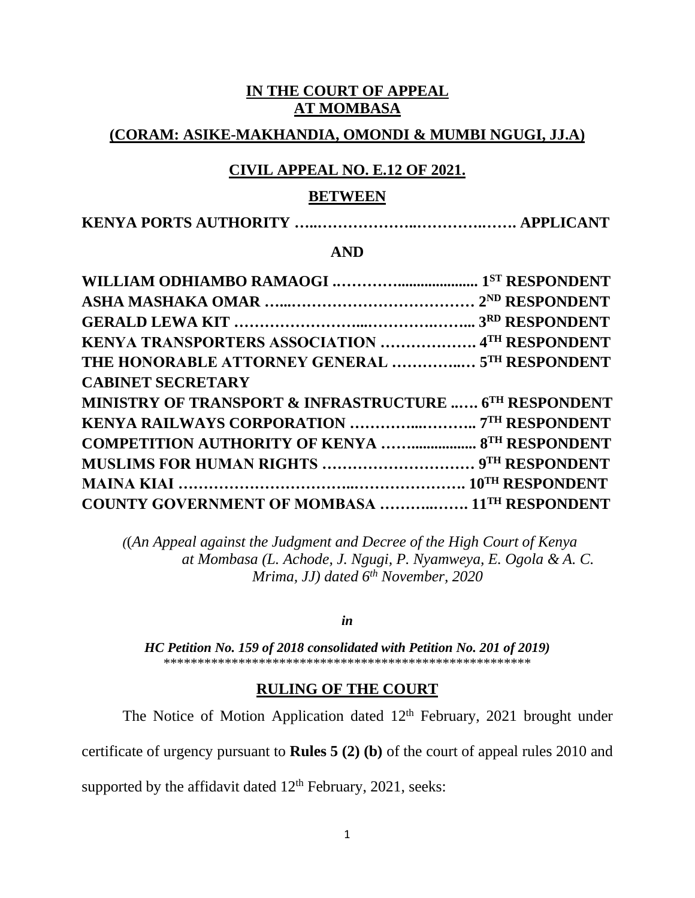#### **IN THE COURT OF APPEAL AT MOMBASA**

## **(CORAM: ASIKE-MAKHANDIA, OMONDI & MUMBI NGUGI, JJ.A)**

# **CIVIL APPEAL NO. E.12 OF 2021.**

#### **BETWEEN**

|--|--|

#### **AND**

| KENYA TRANSPORTERS ASSOCIATION  4TH RESPONDENT         |  |  |
|--------------------------------------------------------|--|--|
| THE HONORABLE ATTORNEY GENERAL  5TH RESPONDENT         |  |  |
| <b>CABINET SECRETARY</b>                               |  |  |
| MINISTRY OF TRANSPORT & INFRASTRUCTURE  6TH RESPONDENT |  |  |
|                                                        |  |  |
| <b>COMPETITION AUTHORITY OF KENYA  8TH RESPONDENT</b>  |  |  |
|                                                        |  |  |
|                                                        |  |  |
| <b>COUNTY GOVERNMENT OF MOMBASA  11TH RESPONDENT</b>   |  |  |

*(*(*An Appeal against the Judgment and Decree of the High Court of Kenya at Mombasa (L. Achode, J. Ngugi, P. Nyamweya, E. Ogola & A. C. Mrima, JJ) dated 6 th November, 2020*

*in*

*HC Petition No. 159 of 2018 consolidated with Petition No. 201 of 2019)* \*\*\*\*\*\*\*\*\*\*\*\*\*\*\*\*\*\*\*\*\*\*\*\*\*\*\*\*\*\*\*\*\*\*\*\*\*\*\*\*\*\*\*\*\*\*\*\*\*\*\*\*\*\*

#### **RULING OF THE COURT**

The Notice of Motion Application dated  $12<sup>th</sup>$  February, 2021 brought under

certificate of urgency pursuant to **Rules 5 (2) (b)** of the court of appeal rules 2010 and

supported by the affidavit dated  $12<sup>th</sup>$  February, 2021, seeks: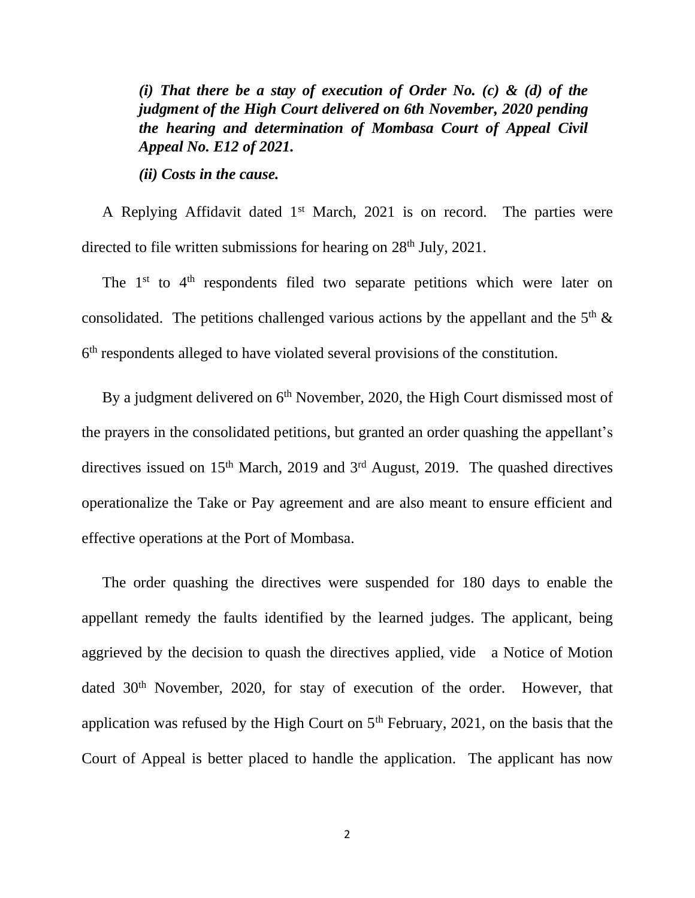*(i) That there be a stay of execution of Order No. (c) & (d) of the judgment of the High Court delivered on 6th November, 2020 pending the hearing and determination of Mombasa Court of Appeal Civil Appeal No. E12 of 2021.*

*(ii) Costs in the cause.*

A Replying Affidavit dated 1<sup>st</sup> March, 2021 is on record. The parties were directed to file written submissions for hearing on  $28<sup>th</sup>$  July, 2021.

The  $1<sup>st</sup>$  to  $4<sup>th</sup>$  respondents filed two separate petitions which were later on consolidated. The petitions challenged various actions by the appellant and the  $5<sup>th</sup>$  & 6<sup>th</sup> respondents alleged to have violated several provisions of the constitution.

By a judgment delivered on 6<sup>th</sup> November, 2020, the High Court dismissed most of the prayers in the consolidated petitions, but granted an order quashing the appellant's directives issued on  $15<sup>th</sup>$  March, 2019 and  $3<sup>rd</sup>$  August, 2019. The quashed directives operationalize the Take or Pay agreement and are also meant to ensure efficient and effective operations at the Port of Mombasa.

The order quashing the directives were suspended for 180 days to enable the appellant remedy the faults identified by the learned judges. The applicant, being aggrieved by the decision to quash the directives applied, vide a Notice of Motion dated 30<sup>th</sup> November, 2020, for stay of execution of the order. However, that application was refused by the High Court on  $5<sup>th</sup>$  February, 2021, on the basis that the Court of Appeal is better placed to handle the application. The applicant has now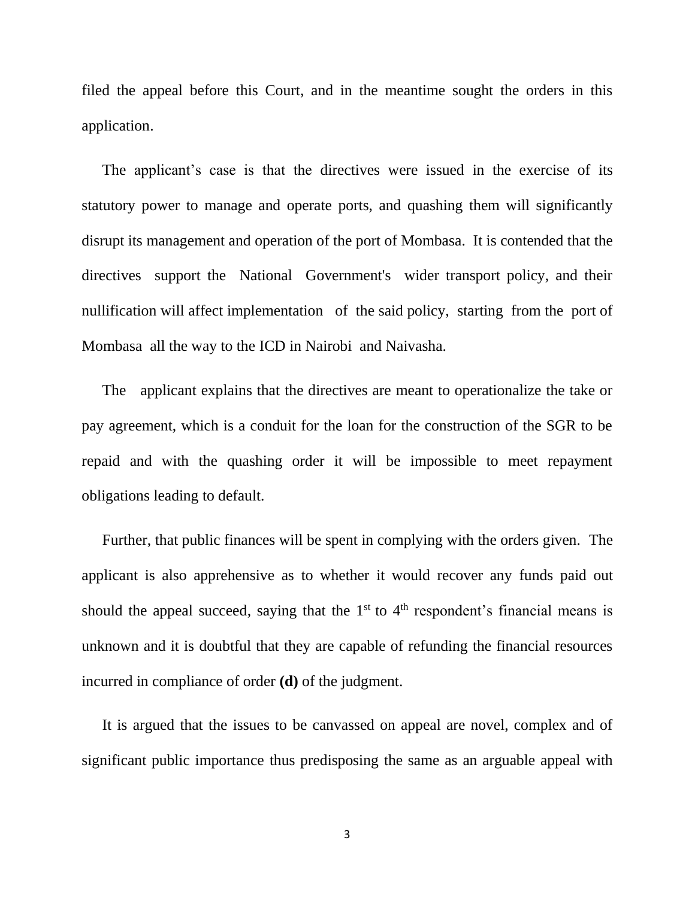filed the appeal before this Court, and in the meantime sought the orders in this application.

The applicant's case is that the directives were issued in the exercise of its statutory power to manage and operate ports, and quashing them will significantly disrupt its management and operation of the port of Mombasa. It is contended that the directives support the National Government's wider transport policy, and their nullification will affect implementation of the said policy, starting from the port of Mombasa all the way to the ICD in Nairobi and Naivasha.

The applicant explains that the directives are meant to operationalize the take or pay agreement, which is a conduit for the loan for the construction of the SGR to be repaid and with the quashing order it will be impossible to meet repayment obligations leading to default.

Further, that public finances will be spent in complying with the orders given. The applicant is also apprehensive as to whether it would recover any funds paid out should the appeal succeed, saying that the  $1<sup>st</sup>$  to  $4<sup>th</sup>$  respondent's financial means is unknown and it is doubtful that they are capable of refunding the financial resources incurred in compliance of order **(d)** of the judgment.

It is argued that the issues to be canvassed on appeal are novel, complex and of significant public importance thus predisposing the same as an arguable appeal with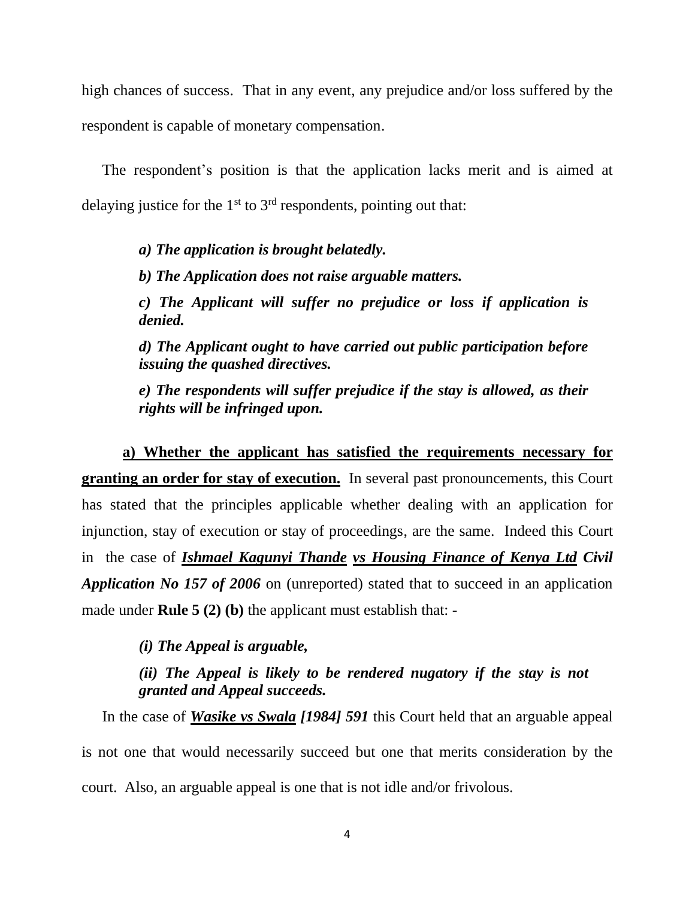high chances of success. That in any event, any prejudice and/or loss suffered by the respondent is capable of monetary compensation.

The respondent's position is that the application lacks merit and is aimed at delaying justice for the  $1<sup>st</sup>$  to  $3<sup>rd</sup>$  respondents, pointing out that:

> *a) The application is brought belatedly. b) The Application does not raise arguable matters. c) The Applicant will suffer no prejudice or loss if application is denied. d) The Applicant ought to have carried out public participation before*

> *issuing the quashed directives.*

*e) The respondents will suffer prejudice if the stay is allowed, as their rights will be infringed upon.*

**a) Whether the applicant has satisfied the requirements necessary for granting an order for stay of execution.** In several past pronouncements, this Court has stated that the principles applicable whether dealing with an application for injunction, stay of execution or stay of proceedings, are the same. Indeed this Court in the case of *Ishmael Kagunyi Thande vs Housing Finance of Kenya Ltd Civil Application No 157 of 2006* on (unreported) stated that to succeed in an application made under **Rule 5 (2) (b)** the applicant must establish that: -

*(i) The Appeal is arguable,*

*(ii) The Appeal is likely to be rendered nugatory if the stay is not granted and Appeal succeeds.*

In the case of *Wasike vs Swala [1984] 591* this Court held that an arguable appeal is not one that would necessarily succeed but one that merits consideration by the court. Also, an arguable appeal is one that is not idle and/or frivolous.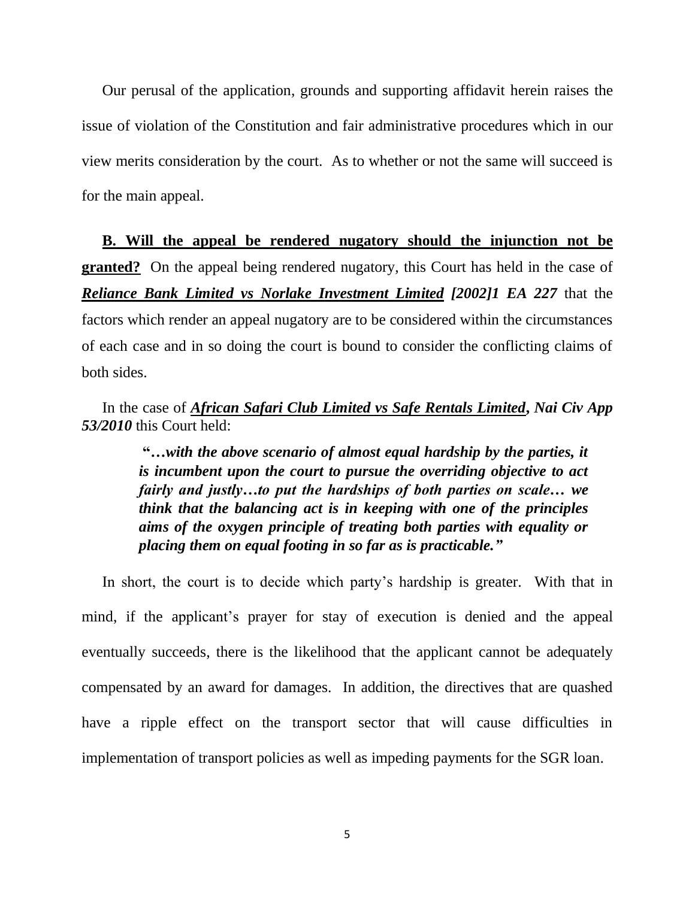Our perusal of the application, grounds and supporting affidavit herein raises the issue of violation of the Constitution and fair administrative procedures which in our view merits consideration by the court. As to whether or not the same will succeed is for the main appeal.

**B. Will the appeal be rendered nugatory should the injunction not be granted?** On the appeal being rendered nugatory, this Court has held in the case of *Reliance Bank Limited vs Norlake Investment Limited [2002]1 EA 227* that the factors which render an appeal nugatory are to be considered within the circumstances of each case and in so doing the court is bound to consider the conflicting claims of both sides.

### In the case of *African Safari Club Limited vs Safe Rentals Limited***,** *Nai Civ App 53/2010* this Court held:

**"…***with the above scenario of almost equal hardship by the parties, it is incumbent upon the court to pursue the overriding objective to act fairly and justly…to put the hardships of both parties on scale… we think that the balancing act is in keeping with one of the principles aims of the oxygen principle of treating both parties with equality or placing them on equal footing in so far as is practicable."*

In short, the court is to decide which party's hardship is greater. With that in mind, if the applicant's prayer for stay of execution is denied and the appeal eventually succeeds, there is the likelihood that the applicant cannot be adequately compensated by an award for damages. In addition, the directives that are quashed have a ripple effect on the transport sector that will cause difficulties in implementation of transport policies as well as impeding payments for the SGR loan.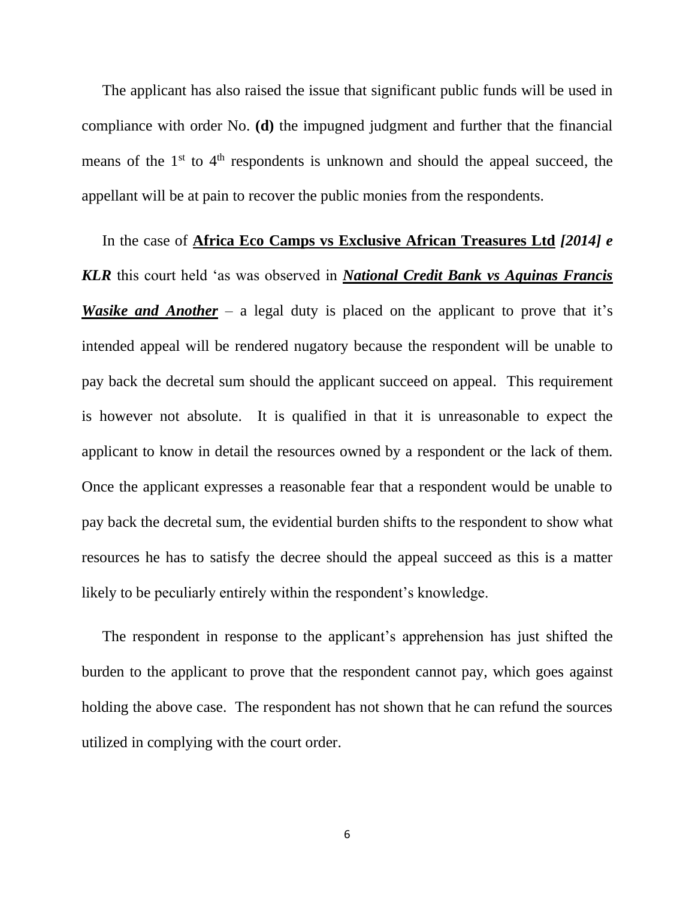The applicant has also raised the issue that significant public funds will be used in compliance with order No. **(d)** the impugned judgment and further that the financial means of the  $1<sup>st</sup>$  to  $4<sup>th</sup>$  respondents is unknown and should the appeal succeed, the appellant will be at pain to recover the public monies from the respondents.

In the case of **Africa Eco Camps vs Exclusive African Treasures Ltd** *[2014] e KLR* this court held 'as was observed in *National Credit Bank vs Aquinas Francis Wasike and Another* – a legal duty is placed on the applicant to prove that it's intended appeal will be rendered nugatory because the respondent will be unable to pay back the decretal sum should the applicant succeed on appeal. This requirement is however not absolute. It is qualified in that it is unreasonable to expect the applicant to know in detail the resources owned by a respondent or the lack of them. Once the applicant expresses a reasonable fear that a respondent would be unable to pay back the decretal sum, the evidential burden shifts to the respondent to show what resources he has to satisfy the decree should the appeal succeed as this is a matter likely to be peculiarly entirely within the respondent's knowledge.

The respondent in response to the applicant's apprehension has just shifted the burden to the applicant to prove that the respondent cannot pay, which goes against holding the above case. The respondent has not shown that he can refund the sources utilized in complying with the court order.